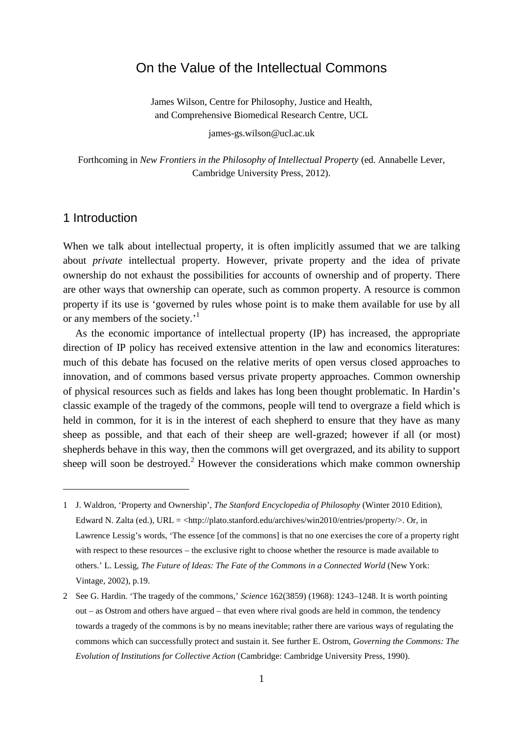# On the Value of the Intellectual Commons

James Wilson, Centre for Philosophy, Justice and Health, and Comprehensive Biomedical Research Centre, UCL

james-gs.wilson@ucl.ac.uk

Forthcoming in *New Frontiers in the Philosophy of Intellectual Property* (ed. Annabelle Lever, Cambridge University Press, 2012).

#### 1 Introduction

When we talk about intellectual property, it is often implicitly assumed that we are talking about *private* intellectual property. However, private property and the idea of private ownership do not exhaust the possibilities for accounts of ownership and of property. There are other ways that ownership can operate, such as common property. A resource is common property if its use is 'governed by rules whose point is to make them available for use by all or any members of the society.'<sup>1</sup>

As the economic importance of intellectual property (IP) has increased, the appropriate direction of IP policy has received extensive attention in the law and economics literatures: much of this debate has focused on the relative merits of open versus closed approaches to innovation, and of commons based versus private property approaches. Common ownership of physical resources such as fields and lakes has long been thought problematic. In Hardin's classic example of the tragedy of the commons, people will tend to overgraze a field which is held in common, for it is in the interest of each shepherd to ensure that they have as many sheep as possible, and that each of their sheep are well-grazed; however if all (or most) shepherds behave in this way, then the commons will get overgrazed, and its ability to support sheep will soon be destroyed.<sup>2</sup> However the considerations which make common ownership

<sup>1</sup> J. Waldron, 'Property and Ownership', *The Stanford Encyclopedia of Philosophy* (Winter 2010 Edition), Edward N. Zalta (ed.), URL =  $\langle \text{http://plato.stanford.edu/archives/win2010/entries/property/>.}$  Or, in Lawrence Lessig's words, 'The essence [of the commons] is that no one exercises the core of a property right with respect to these resources – the exclusive right to choose whether the resource is made available to others.' L. Lessig, *The Future of Ideas: The Fate of the Commons in a Connected World* (New York: Vintage, 2002), p.19.

<sup>2</sup> See G. Hardin. 'The tragedy of the commons,' *Science* 162(3859) (1968): 1243–1248. It is worth pointing out – as Ostrom and others have argued – that even where rival goods are held in common, the tendency towards a tragedy of the commons is by no means inevitable; rather there are various ways of regulating the commons which can successfully protect and sustain it. See further E. Ostrom, *Governing the Commons: The Evolution of Institutions for Collective Action* (Cambridge: Cambridge University Press, 1990).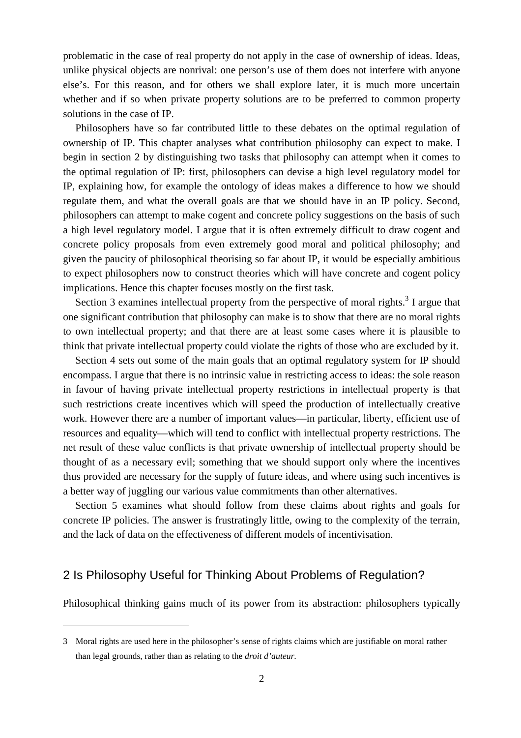problematic in the case of real property do not apply in the case of ownership of ideas. Ideas, unlike physical objects are nonrival: one person's use of them does not interfere with anyone else's. For this reason, and for others we shall explore later, it is much more uncertain whether and if so when private property solutions are to be preferred to common property solutions in the case of IP.

Philosophers have so far contributed little to these debates on the optimal regulation of ownership of IP. This chapter analyses what contribution philosophy can expect to make. I begin in section 2 by distinguishing two tasks that philosophy can attempt when it comes to the optimal regulation of IP: first, philosophers can devise a high level regulatory model for IP, explaining how, for example the ontology of ideas makes a difference to how we should regulate them, and what the overall goals are that we should have in an IP policy. Second, philosophers can attempt to make cogent and concrete policy suggestions on the basis of such a high level regulatory model. I argue that it is often extremely difficult to draw cogent and concrete policy proposals from even extremely good moral and political philosophy; and given the paucity of philosophical theorising so far about IP, it would be especially ambitious to expect philosophers now to construct theories which will have concrete and cogent policy implications. Hence this chapter focuses mostly on the first task.

Section 3 examines intellectual property from the perspective of moral rights.<sup>3</sup> I argue that one significant contribution that philosophy can make is to show that there are no moral rights to own intellectual property; and that there are at least some cases where it is plausible to think that private intellectual property could violate the rights of those who are excluded by it.

Section 4 sets out some of the main goals that an optimal regulatory system for IP should encompass. I argue that there is no intrinsic value in restricting access to ideas: the sole reason in favour of having private intellectual property restrictions in intellectual property is that such restrictions create incentives which will speed the production of intellectually creative work. However there are a number of important values—in particular, liberty, efficient use of resources and equality—which will tend to conflict with intellectual property restrictions. The net result of these value conflicts is that private ownership of intellectual property should be thought of as a necessary evil; something that we should support only where the incentives thus provided are necessary for the supply of future ideas, and where using such incentives is a better way of juggling our various value commitments than other alternatives.

Section 5 examines what should follow from these claims about rights and goals for concrete IP policies. The answer is frustratingly little, owing to the complexity of the terrain, and the lack of data on the effectiveness of different models of incentivisation.

# 2 Is Philosophy Useful for Thinking About Problems of Regulation?

Philosophical thinking gains much of its power from its abstraction: philosophers typically

<sup>3</sup> Moral rights are used here in the philosopher's sense of rights claims which are justifiable on moral rather than legal grounds, rather than as relating to the *droit d'auteur.*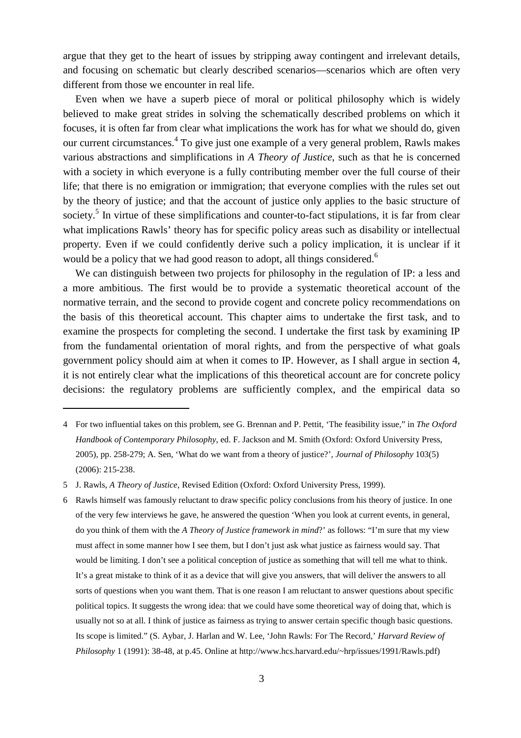argue that they get to the heart of issues by stripping away contingent and irrelevant details, and focusing on schematic but clearly described scenarios—scenarios which are often very different from those we encounter in real life.

Even when we have a superb piece of moral or political philosophy which is widely believed to make great strides in solving the schematically described problems on which it focuses, it is often far from clear what implications the work has for what we should do, given our current circumstances.<sup>4</sup> To give just one example of a very general problem, Rawls makes various abstractions and simplifications in *A Theory of Justice*, such as that he is concerned with a society in which everyone is a fully contributing member over the full course of their life; that there is no emigration or immigration; that everyone complies with the rules set out by the theory of justice; and that the account of justice only applies to the basic structure of society.<sup>5</sup> In virtue of these simplifications and counter-to-fact stipulations, it is far from clear what implications Rawls' theory has for specific policy areas such as disability or intellectual property. Even if we could confidently derive such a policy implication, it is unclear if it would be a policy that we had good reason to adopt, all things considered.<sup>6</sup>

We can distinguish between two projects for philosophy in the regulation of IP: a less and a more ambitious. The first would be to provide a systematic theoretical account of the normative terrain, and the second to provide cogent and concrete policy recommendations on the basis of this theoretical account. This chapter aims to undertake the first task, and to examine the prospects for completing the second. I undertake the first task by examining IP from the fundamental orientation of moral rights, and from the perspective of what goals government policy should aim at when it comes to IP. However, as I shall argue in section 4, it is not entirely clear what the implications of this theoretical account are for concrete policy decisions: the regulatory problems are sufficiently complex, and the empirical data so

<sup>4</sup> For two influential takes on this problem, see G. Brennan and P. Pettit, 'The feasibility issue," in *The Oxford Handbook of Contemporary Philosophy*, ed. F. Jackson and M. Smith (Oxford: Oxford University Press, 2005), pp. 258-279; A. Sen, 'What do we want from a theory of justice?', *Journal of Philosophy* 103(5) (2006): 215-238.

<sup>5</sup> J. Rawls, *A Theory of Justice*, Revised Edition (Oxford: Oxford University Press, 1999).

<sup>6</sup> Rawls himself was famously reluctant to draw specific policy conclusions from his theory of justice. In one of the very few interviews he gave, he answered the question 'When you look at current events, in general, do you think of them with the *A Theory of Justice framework in mind*?' as follows: "I'm sure that my view must affect in some manner how I see them, but I don't just ask what justice as fairness would say. That would be limiting. I don't see a political conception of justice as something that will tell me what to think. It's a great mistake to think of it as a device that will give you answers, that will deliver the answers to all sorts of questions when you want them. That is one reason I am reluctant to answer questions about specific political topics. It suggests the wrong idea: that we could have some theoretical way of doing that, which is usually not so at all. I think of justice as fairness as trying to answer certain specific though basic questions. Its scope is limited." (S. Aybar, J. Harlan and W. Lee, 'John Rawls: For The Record,' *Harvard Review of Philosophy* 1 (1991): 38-48, at p.45. Online at http://www.hcs.harvard.edu/~hrp/issues/1991/Rawls.pdf)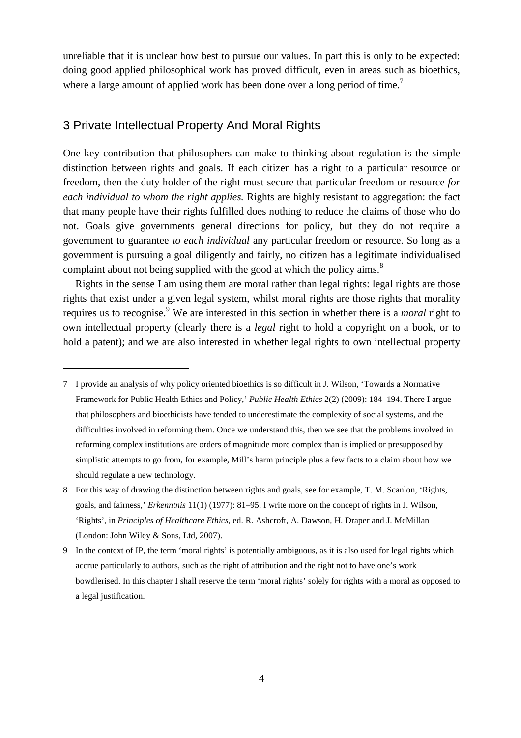unreliable that it is unclear how best to pursue our values. In part this is only to be expected: doing good applied philosophical work has proved difficult, even in areas such as bioethics, where a large amount of applied work has been done over a long period of time.<sup>7</sup>

## 3 Private Intellectual Property And Moral Rights

One key contribution that philosophers can make to thinking about regulation is the simple distinction between rights and goals. If each citizen has a right to a particular resource or freedom, then the duty holder of the right must secure that particular freedom or resource *for each individual to whom the right applies.* Rights are highly resistant to aggregation: the fact that many people have their rights fulfilled does nothing to reduce the claims of those who do not. Goals give governments general directions for policy, but they do not require a government to guarantee *to each individual* any particular freedom or resource. So long as a government is pursuing a goal diligently and fairly, no citizen has a legitimate individualised complaint about not being supplied with the good at which the policy aims.<sup>8</sup>

Rights in the sense I am using them are moral rather than legal rights: legal rights are those rights that exist under a given legal system, whilst moral rights are those rights that morality requires us to recognise.<sup>9</sup> We are interested in this section in whether there is a *moral* right to own intellectual property (clearly there is a *legal* right to hold a copyright on a book, or to hold a patent); and we are also interested in whether legal rights to own intellectual property

<sup>7</sup> I provide an analysis of why policy oriented bioethics is so difficult in J. Wilson, 'Towards a Normative Framework for Public Health Ethics and Policy,' *Public Health Ethics* 2(2) (2009): 184–194. There I argue that philosophers and bioethicists have tended to underestimate the complexity of social systems, and the difficulties involved in reforming them. Once we understand this, then we see that the problems involved in reforming complex institutions are orders of magnitude more complex than is implied or presupposed by simplistic attempts to go from, for example, Mill's harm principle plus a few facts to a claim about how we should regulate a new technology.

<sup>8</sup> For this way of drawing the distinction between rights and goals, see for example, T. M. Scanlon, 'Rights, goals, and fairness,' *Erkenntnis* 11(1) (1977): 81–95. I write more on the concept of rights in J. Wilson, 'Rights', in *Principles of Healthcare Ethics,* ed. R. Ashcroft, A. Dawson, H. Draper and J. McMillan (London: John Wiley & Sons, Ltd, 2007).

<sup>9</sup> In the context of IP, the term 'moral rights' is potentially ambiguous, as it is also used for legal rights which accrue particularly to authors, such as the right of attribution and the right not to have one's work bowdlerised. In this chapter I shall reserve the term 'moral rights' solely for rights with a moral as opposed to a legal justification.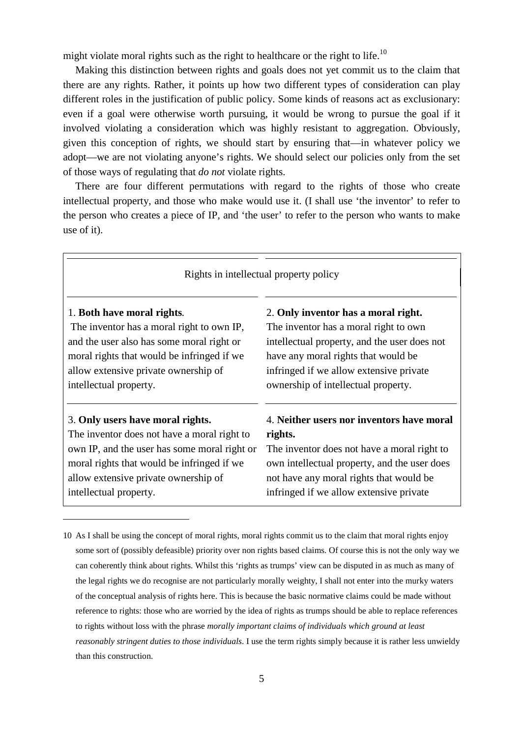might violate moral rights such as the right to healthcare or the right to life.<sup>10</sup>

Making this distinction between rights and goals does not yet commit us to the claim that there are any rights. Rather, it points up how two different types of consideration can play different roles in the justification of public policy. Some kinds of reasons act as exclusionary: even if a goal were otherwise worth pursuing, it would be wrong to pursue the goal if it involved violating a consideration which was highly resistant to aggregation. Obviously, given this conception of rights, we should start by ensuring that—in whatever policy we adopt—we are not violating anyone's rights. We should select our policies only from the set of those ways of regulating that *do not* violate rights.

There are four different permutations with regard to the rights of those who create intellectual property, and those who make would use it. (I shall use 'the inventor' to refer to the person who creates a piece of IP, and 'the user' to refer to the person who wants to make use of it).

| Rights in intellectual property policy       |                                              |
|----------------------------------------------|----------------------------------------------|
| 1. Both have moral rights.                   | 2. Only inventor has a moral right.          |
| The inventor has a moral right to own IP,    | The inventor has a moral right to own        |
| and the user also has some moral right or    | intellectual property, and the user does not |
| moral rights that would be infringed if we   | have any moral rights that would be          |
| allow extensive private ownership of         | infringed if we allow extensive private      |
| intellectual property.                       | ownership of intellectual property.          |
| 3. Only users have moral rights.             | 4. Neither users nor inventors have moral    |
| The inventor does not have a moral right to  | rights.                                      |
| own IP, and the user has some moral right or | The inventor does not have a moral right to  |
| moral rights that would be infringed if we   | own intellectual property, and the user does |
| allow extensive private ownership of         | not have any moral rights that would be      |
| intellectual property.                       | infringed if we allow extensive private      |

10 As I shall be using the concept of moral rights, moral rights commit us to the claim that moral rights enjoy some sort of (possibly defeasible) priority over non rights based claims. Of course this is not the only way we can coherently think about rights. Whilst this 'rights as trumps' view can be disputed in as much as many of the legal rights we do recognise are not particularly morally weighty, I shall not enter into the murky waters of the conceptual analysis of rights here. This is because the basic normative claims could be made without reference to rights: those who are worried by the idea of rights as trumps should be able to replace references to rights without loss with the phrase *morally important claims of individuals which ground at least reasonably stringent duties to those individuals*. I use the term rights simply because it is rather less unwieldy than this construction.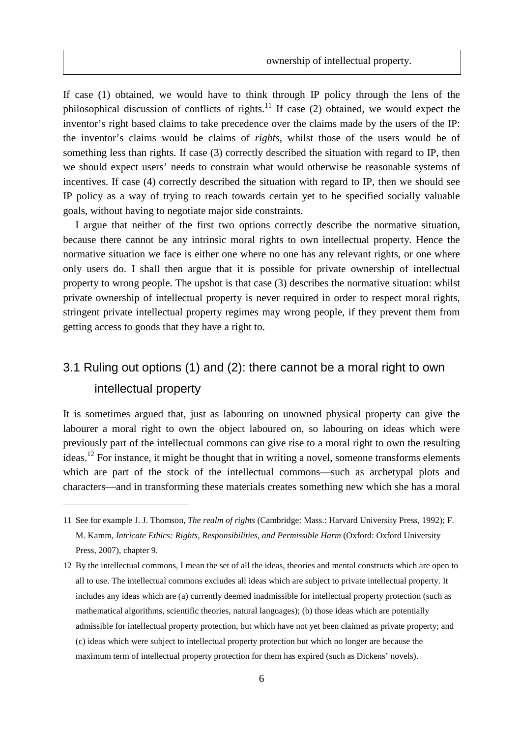If case (1) obtained, we would have to think through IP policy through the lens of the philosophical discussion of conflicts of rights.<sup>11</sup> If case (2) obtained, we would expect the inventor's right based claims to take precedence over the claims made by the users of the IP: the inventor's claims would be claims of *rights,* whilst those of the users would be of something less than rights. If case (3) correctly described the situation with regard to IP, then we should expect users' needs to constrain what would otherwise be reasonable systems of incentives. If case (4) correctly described the situation with regard to IP, then we should see IP policy as a way of trying to reach towards certain yet to be specified socially valuable goals, without having to negotiate major side constraints.

I argue that neither of the first two options correctly describe the normative situation, because there cannot be any intrinsic moral rights to own intellectual property. Hence the normative situation we face is either one where no one has any relevant rights, or one where only users do. I shall then argue that it is possible for private ownership of intellectual property to wrong people. The upshot is that case (3) describes the normative situation: whilst private ownership of intellectual property is never required in order to respect moral rights, stringent private intellectual property regimes may wrong people, if they prevent them from getting access to goods that they have a right to.

# 3.1 Ruling out options (1) and (2): there cannot be a moral right to own intellectual property

It is sometimes argued that, just as labouring on unowned physical property can give the labourer a moral right to own the object laboured on, so labouring on ideas which were previously part of the intellectual commons can give rise to a moral right to own the resulting ideas.<sup>12</sup> For instance, it might be thought that in writing a novel, someone transforms elements which are part of the stock of the intellectual commons—such as archetypal plots and characters—and in transforming these materials creates something new which she has a moral

<sup>11</sup> See for example J. J. Thomson, *The realm of rights* (Cambridge: Mass.: Harvard University Press, 1992); F. M. Kamm, *Intricate Ethics: Rights, Responsibilities, and Permissible Harm* (Oxford: Oxford University Press, 2007), chapter 9.

<sup>12</sup> By the intellectual commons, I mean the set of all the ideas, theories and mental constructs which are open to all to use. The intellectual commons excludes all ideas which are subject to private intellectual property. It includes any ideas which are (a) currently deemed inadmissible for intellectual property protection (such as mathematical algorithms, scientific theories, natural languages); (b) those ideas which are potentially admissible for intellectual property protection, but which have not yet been claimed as private property; and (c) ideas which were subject to intellectual property protection but which no longer are because the maximum term of intellectual property protection for them has expired (such as Dickens' novels).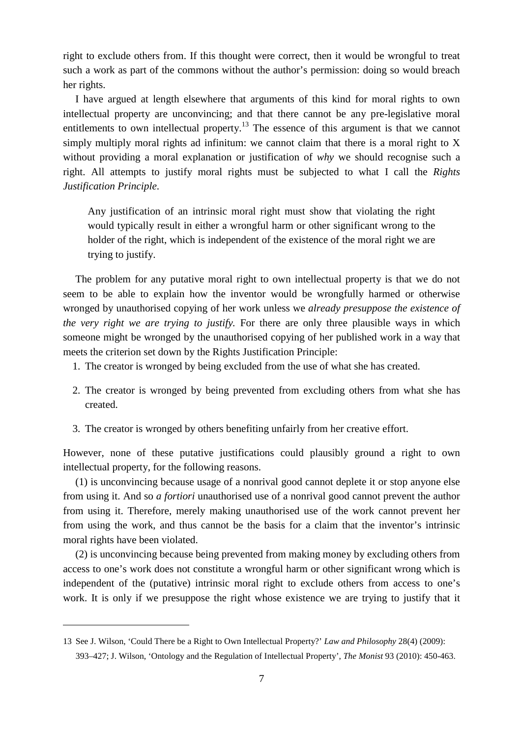right to exclude others from. If this thought were correct, then it would be wrongful to treat such a work as part of the commons without the author's permission: doing so would breach her rights.

I have argued at length elsewhere that arguments of this kind for moral rights to own intellectual property are unconvincing; and that there cannot be any pre-legislative moral entitlements to own intellectual property.<sup>13</sup> The essence of this argument is that we cannot simply multiply moral rights ad infinitum: we cannot claim that there is a moral right to X without providing a moral explanation or justification of *why* we should recognise such a right. All attempts to justify moral rights must be subjected to what I call the *Rights Justification Principle*.

Any justification of an intrinsic moral right must show that violating the right would typically result in either a wrongful harm or other significant wrong to the holder of the right, which is independent of the existence of the moral right we are trying to justify.

The problem for any putative moral right to own intellectual property is that we do not seem to be able to explain how the inventor would be wrongfully harmed or otherwise wronged by unauthorised copying of her work unless we *already presuppose the existence of the very right we are trying to justify.* For there are only three plausible ways in which someone might be wronged by the unauthorised copying of her published work in a way that meets the criterion set down by the Rights Justification Principle:

- 1. The creator is wronged by being excluded from the use of what she has created.
- 2. The creator is wronged by being prevented from excluding others from what she has created.
- 3. The creator is wronged by others benefiting unfairly from her creative effort.

However, none of these putative justifications could plausibly ground a right to own intellectual property, for the following reasons.

(1) is unconvincing because usage of a nonrival good cannot deplete it or stop anyone else from using it. And so *a fortiori* unauthorised use of a nonrival good cannot prevent the author from using it. Therefore, merely making unauthorised use of the work cannot prevent her from using the work, and thus cannot be the basis for a claim that the inventor's intrinsic moral rights have been violated.

(2) is unconvincing because being prevented from making money by excluding others from access to one's work does not constitute a wrongful harm or other significant wrong which is independent of the (putative) intrinsic moral right to exclude others from access to one's work. It is only if we presuppose the right whose existence we are trying to justify that it

<sup>13</sup> See J. Wilson, 'Could There be a Right to Own Intellectual Property?' *Law and Philosophy* 28(4) (2009):

<sup>393–427;</sup> J. Wilson, 'Ontology and the Regulation of Intellectual Property', *The Monist* 93 (2010): 450-463.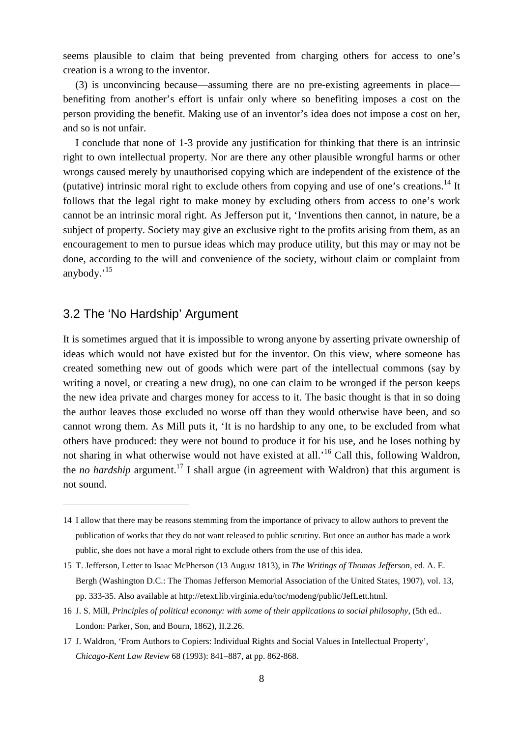seems plausible to claim that being prevented from charging others for access to one's creation is a wrong to the inventor.

(3) is unconvincing because—assuming there are no pre-existing agreements in place benefiting from another's effort is unfair only where so benefiting imposes a cost on the person providing the benefit. Making use of an inventor's idea does not impose a cost on her, and so is not unfair.

I conclude that none of 1-3 provide any justification for thinking that there is an intrinsic right to own intellectual property. Nor are there any other plausible wrongful harms or other wrongs caused merely by unauthorised copying which are independent of the existence of the (putative) intrinsic moral right to exclude others from copying and use of one's creations.<sup>14</sup> It follows that the legal right to make money by excluding others from access to one's work cannot be an intrinsic moral right. As Jefferson put it, 'Inventions then cannot, in nature, be a subject of property. Society may give an exclusive right to the profits arising from them, as an encouragement to men to pursue ideas which may produce utility, but this may or may not be done, according to the will and convenience of the society, without claim or complaint from anybody.'<sup>15</sup>

### 3.2 The 'No Hardship' Argument

It is sometimes argued that it is impossible to wrong anyone by asserting private ownership of ideas which would not have existed but for the inventor. On this view, where someone has created something new out of goods which were part of the intellectual commons (say by writing a novel, or creating a new drug), no one can claim to be wronged if the person keeps the new idea private and charges money for access to it. The basic thought is that in so doing the author leaves those excluded no worse off than they would otherwise have been, and so cannot wrong them. As Mill puts it, 'It is no hardship to any one, to be excluded from what others have produced: they were not bound to produce it for his use, and he loses nothing by not sharing in what otherwise would not have existed at all.<sup>16</sup> Call this, following Waldron, the *no hardship* argument.<sup>17</sup> I shall argue (in agreement with Waldron) that this argument is not sound.

<sup>14</sup> I allow that there may be reasons stemming from the importance of privacy to allow authors to prevent the publication of works that they do not want released to public scrutiny. But once an author has made a work public, she does not have a moral right to exclude others from the use of this idea.

<sup>15</sup> T. Jefferson, Letter to Isaac McPherson (13 August 1813), in *The Writings of Thomas Jefferson*, ed. A. E. Bergh (Washington D.C.: The Thomas Jefferson Memorial Association of the United States, 1907), vol. 13, pp. 333-35. Also available at http://etext.lib.virginia.edu/toc/modeng/public/JefLett.html.

<sup>16</sup> J. S. Mill, *Principles of political economy: with some of their applications to social philosophy*, (5th ed.. London: Parker, Son, and Bourn, 1862), II.2.26.

<sup>17</sup> J. Waldron, 'From Authors to Copiers: Individual Rights and Social Values in Intellectual Property', *Chicago-Kent Law Review* 68 (1993): 841–887, at pp. 862-868.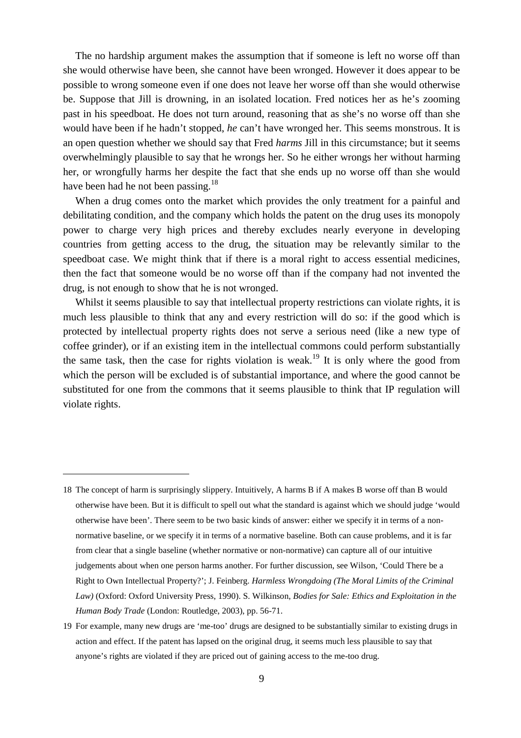The no hardship argument makes the assumption that if someone is left no worse off than she would otherwise have been, she cannot have been wronged. However it does appear to be possible to wrong someone even if one does not leave her worse off than she would otherwise be. Suppose that Jill is drowning, in an isolated location. Fred notices her as he's zooming past in his speedboat. He does not turn around, reasoning that as she's no worse off than she would have been if he hadn't stopped, *he* can't have wronged her. This seems monstrous. It is an open question whether we should say that Fred *harms* Jill in this circumstance; but it seems overwhelmingly plausible to say that he wrongs her. So he either wrongs her without harming her, or wrongfully harms her despite the fact that she ends up no worse off than she would have been had he not been passing.<sup>18</sup>

When a drug comes onto the market which provides the only treatment for a painful and debilitating condition, and the company which holds the patent on the drug uses its monopoly power to charge very high prices and thereby excludes nearly everyone in developing countries from getting access to the drug, the situation may be relevantly similar to the speedboat case. We might think that if there is a moral right to access essential medicines, then the fact that someone would be no worse off than if the company had not invented the drug, is not enough to show that he is not wronged.

Whilst it seems plausible to say that intellectual property restrictions can violate rights, it is much less plausible to think that any and every restriction will do so: if the good which is protected by intellectual property rights does not serve a serious need (like a new type of coffee grinder), or if an existing item in the intellectual commons could perform substantially the same task, then the case for rights violation is weak.<sup>19</sup> It is only where the good from which the person will be excluded is of substantial importance, and where the good cannot be substituted for one from the commons that it seems plausible to think that IP regulation will violate rights.

<sup>18</sup> The concept of harm is surprisingly slippery. Intuitively, A harms B if A makes B worse off than B would otherwise have been. But it is difficult to spell out what the standard is against which we should judge 'would otherwise have been'. There seem to be two basic kinds of answer: either we specify it in terms of a nonnormative baseline, or we specify it in terms of a normative baseline. Both can cause problems, and it is far from clear that a single baseline (whether normative or non-normative) can capture all of our intuitive judgements about when one person harms another. For further discussion, see Wilson, 'Could There be a Right to Own Intellectual Property?'; J. Feinberg. *Harmless Wrongdoing (The Moral Limits of the Criminal Law)* (Oxford: Oxford University Press, 1990). S. Wilkinson, *Bodies for Sale: Ethics and Exploitation in the Human Body Trade* (London: Routledge, 2003), pp. 56-71.

<sup>19</sup> For example, many new drugs are 'me-too' drugs are designed to be substantially similar to existing drugs in action and effect. If the patent has lapsed on the original drug, it seems much less plausible to say that anyone's rights are violated if they are priced out of gaining access to the me-too drug.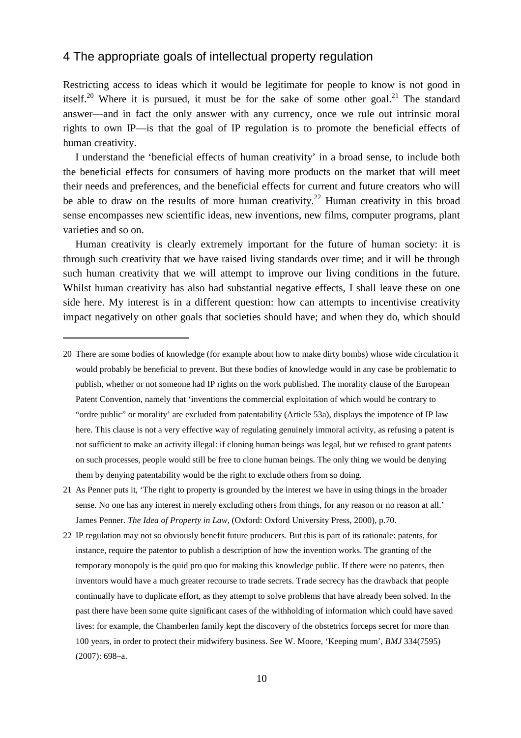#### 4 The appropriate goals of intellectual property regulation

Restricting access to ideas which it would be legitimate for people to know is not good in itself.<sup>20</sup> Where it is pursued, it must be for the sake of some other goal.<sup>21</sup> The standard answer—and in fact the only answer with any currency, once we rule out intrinsic moral rights to own IP—is that the goal of IP regulation is to promote the beneficial effects of human creativity.

I understand the 'beneficial effects of human creativity' in a broad sense, to include both the beneficial effects for consumers of having more products on the market that will meet their needs and preferences, and the beneficial effects for current and future creators who will be able to draw on the results of more human creativity.<sup>22</sup> Human creativity in this broad sense encompasses new scientific ideas, new inventions, new films, computer programs, plant varieties and so on.

Human creativity is clearly extremely important for the future of human society: it is through such creativity that we have raised living standards over time; and it will be through such human creativity that we will attempt to improve our living conditions in the future. Whilst human creativity has also had substantial negative effects, I shall leave these on one side here. My interest is in a different question: how can attempts to incentivise creativity impact negatively on other goals that societies should have; and when they do, which should

<sup>20</sup> There are some bodies of knowledge (for example about how to make dirty bombs) whose wide circulation it would probably be beneficial to prevent. But these bodies of knowledge would in any case be problematic to publish, whether or not someone had IP rights on the work published. The morality clause of the European Patent Convention, namely that 'inventions the commercial exploitation of which would be contrary to "ordre public" or morality' are excluded from patentability (Article 53a), displays the impotence of IP law here. This clause is not a very effective way of regulating genuinely immoral activity, as refusing a patent is not sufficient to make an activity illegal: if cloning human beings was legal, but we refused to grant patents on such processes, people would still be free to clone human beings. The only thing we would be denying them by denying patentability would be the right to exclude others from so doing.

<sup>21</sup> As Penner puts it, 'The right to property is grounded by the interest we have in using things in the broader sense. No one has any interest in merely excluding others from things, for any reason or no reason at all.' James Penner. *The Idea of Property in Law,* (Oxford: Oxford University Press, 2000), p.70.

<sup>22</sup> IP regulation may not so obviously benefit future producers. But this is part of its rationale: patents, for instance, require the patentor to publish a description of how the invention works. The granting of the temporary monopoly is the quid pro quo for making this knowledge public. If there were no patents, then inventors would have a much greater recourse to trade secrets. Trade secrecy has the drawback that people continually have to duplicate effort, as they attempt to solve problems that have already been solved. In the past there have been some quite significant cases of the withholding of information which could have saved lives: for example, the Chamberlen family kept the discovery of the obstetrics forceps secret for more than 100 years, in order to protect their midwifery business. See W. Moore, 'Keeping mum', *BMJ* 334(7595) (2007): 698–a.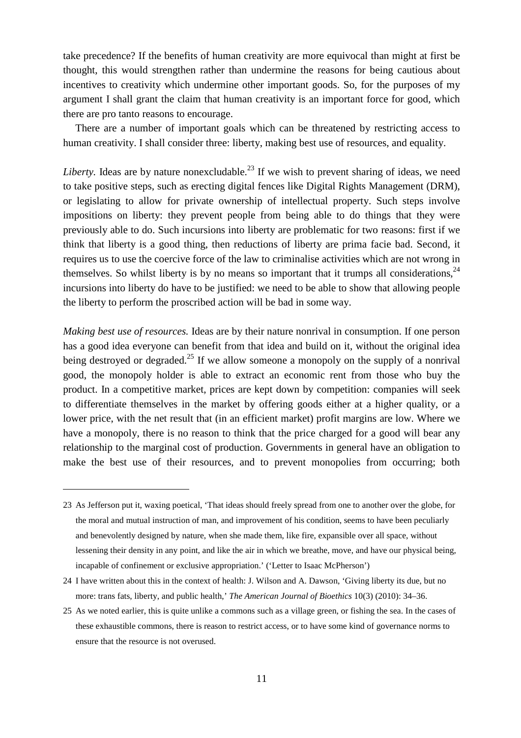take precedence? If the benefits of human creativity are more equivocal than might at first be thought, this would strengthen rather than undermine the reasons for being cautious about incentives to creativity which undermine other important goods. So, for the purposes of my argument I shall grant the claim that human creativity is an important force for good, which there are pro tanto reasons to encourage.

There are a number of important goals which can be threatened by restricting access to human creativity. I shall consider three: liberty, making best use of resources, and equality.

*Liberty*. Ideas are by nature nonexcludable.<sup>23</sup> If we wish to prevent sharing of ideas, we need to take positive steps, such as erecting digital fences like Digital Rights Management (DRM), or legislating to allow for private ownership of intellectual property. Such steps involve impositions on liberty: they prevent people from being able to do things that they were previously able to do. Such incursions into liberty are problematic for two reasons: first if we think that liberty is a good thing, then reductions of liberty are prima facie bad. Second, it requires us to use the coercive force of the law to criminalise activities which are not wrong in themselves. So whilst liberty is by no means so important that it trumps all considerations,  $24$ incursions into liberty do have to be justified: we need to be able to show that allowing people the liberty to perform the proscribed action will be bad in some way.

*Making best use of resources.* Ideas are by their nature nonrival in consumption. If one person has a good idea everyone can benefit from that idea and build on it, without the original idea being destroyed or degraded.<sup>25</sup> If we allow someone a monopoly on the supply of a nonrival good, the monopoly holder is able to extract an economic rent from those who buy the product. In a competitive market, prices are kept down by competition: companies will seek to differentiate themselves in the market by offering goods either at a higher quality, or a lower price, with the net result that (in an efficient market) profit margins are low. Where we have a monopoly, there is no reason to think that the price charged for a good will bear any relationship to the marginal cost of production. Governments in general have an obligation to make the best use of their resources, and to prevent monopolies from occurring; both

<sup>23</sup> As Jefferson put it, waxing poetical, 'That ideas should freely spread from one to another over the globe, for the moral and mutual instruction of man, and improvement of his condition, seems to have been peculiarly and benevolently designed by nature, when she made them, like fire, expansible over all space, without lessening their density in any point, and like the air in which we breathe, move, and have our physical being, incapable of confinement or exclusive appropriation.' ('Letter to Isaac McPherson')

<sup>24</sup> I have written about this in the context of health: J. Wilson and A. Dawson, 'Giving liberty its due, but no more: trans fats, liberty, and public health,' *The American Journal of Bioethics* 10(3) (2010): 34–36.

<sup>25</sup> As we noted earlier, this is quite unlike a commons such as a village green, or fishing the sea. In the cases of these exhaustible commons, there is reason to restrict access, or to have some kind of governance norms to ensure that the resource is not overused.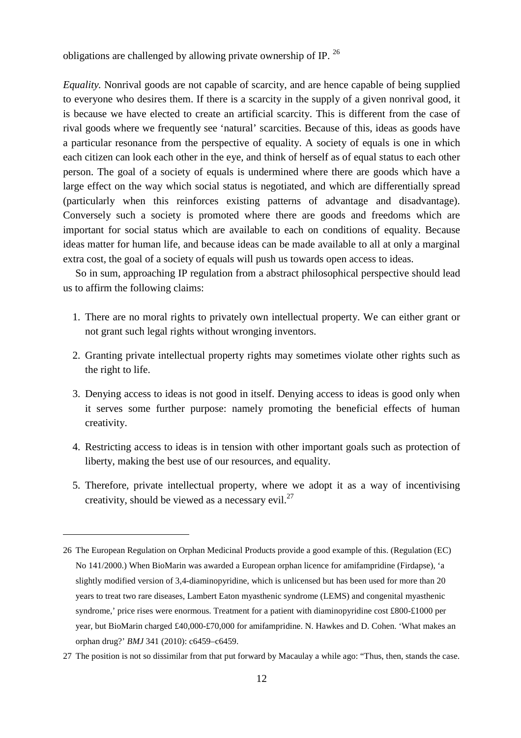obligations are challenged by allowing private ownership of IP.  $^{26}$ 

*Equality.* Nonrival goods are not capable of scarcity, and are hence capable of being supplied to everyone who desires them. If there is a scarcity in the supply of a given nonrival good, it is because we have elected to create an artificial scarcity. This is different from the case of rival goods where we frequently see 'natural' scarcities. Because of this, ideas as goods have a particular resonance from the perspective of equality. A society of equals is one in which each citizen can look each other in the eye, and think of herself as of equal status to each other person. The goal of a society of equals is undermined where there are goods which have a large effect on the way which social status is negotiated, and which are differentially spread (particularly when this reinforces existing patterns of advantage and disadvantage). Conversely such a society is promoted where there are goods and freedoms which are important for social status which are available to each on conditions of equality. Because ideas matter for human life, and because ideas can be made available to all at only a marginal extra cost, the goal of a society of equals will push us towards open access to ideas.

So in sum, approaching IP regulation from a abstract philosophical perspective should lead us to affirm the following claims:

- 1. There are no moral rights to privately own intellectual property. We can either grant or not grant such legal rights without wronging inventors.
- 2. Granting private intellectual property rights may sometimes violate other rights such as the right to life.
- 3. Denying access to ideas is not good in itself. Denying access to ideas is good only when it serves some further purpose: namely promoting the beneficial effects of human creativity.
- 4. Restricting access to ideas is in tension with other important goals such as protection of liberty, making the best use of our resources, and equality.
- 5. Therefore, private intellectual property, where we adopt it as a way of incentivising creativity, should be viewed as a necessary evil.<sup>27</sup>

<sup>26</sup> The European Regulation on Orphan Medicinal Products provide a good example of this. (Regulation (EC) No 141/2000.) When BioMarin was awarded a European orphan licence for amifampridine (Firdapse), 'a slightly modified version of 3,4-diaminopyridine, which is unlicensed but has been used for more than 20 years to treat two rare diseases, Lambert Eaton myasthenic syndrome (LEMS) and congenital myasthenic syndrome,' price rises were enormous. Treatment for a patient with diaminopyridine cost £800-£1000 per year, but BioMarin charged £40,000-£70,000 for amifampridine. N. Hawkes and D. Cohen. 'What makes an orphan drug?' *BMJ* 341 (2010): c6459–c6459.

<sup>27</sup> The position is not so dissimilar from that put forward by Macaulay a while ago: "Thus, then, stands the case.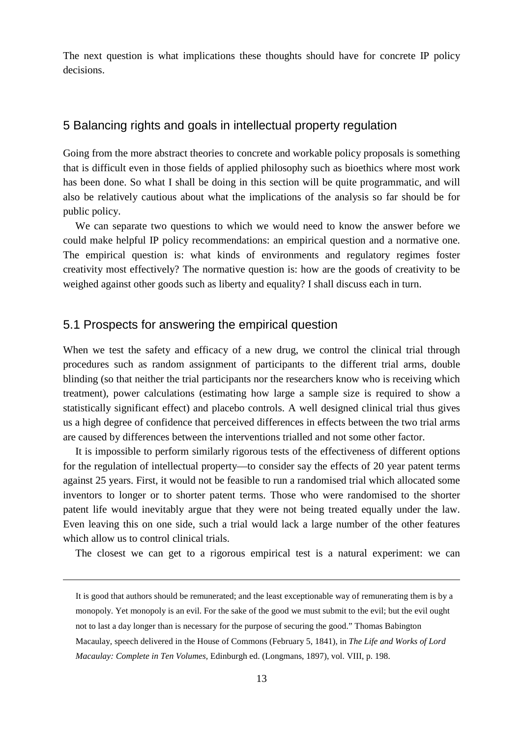The next question is what implications these thoughts should have for concrete IP policy decisions.

## 5 Balancing rights and goals in intellectual property regulation

Going from the more abstract theories to concrete and workable policy proposals is something that is difficult even in those fields of applied philosophy such as bioethics where most work has been done. So what I shall be doing in this section will be quite programmatic, and will also be relatively cautious about what the implications of the analysis so far should be for public policy.

We can separate two questions to which we would need to know the answer before we could make helpful IP policy recommendations: an empirical question and a normative one. The empirical question is: what kinds of environments and regulatory regimes foster creativity most effectively? The normative question is: how are the goods of creativity to be weighed against other goods such as liberty and equality? I shall discuss each in turn.

## 5.1 Prospects for answering the empirical question

When we test the safety and efficacy of a new drug, we control the clinical trial through procedures such as random assignment of participants to the different trial arms, double blinding (so that neither the trial participants nor the researchers know who is receiving which treatment), power calculations (estimating how large a sample size is required to show a statistically significant effect) and placebo controls. A well designed clinical trial thus gives us a high degree of confidence that perceived differences in effects between the two trial arms are caused by differences between the interventions trialled and not some other factor.

It is impossible to perform similarly rigorous tests of the effectiveness of different options for the regulation of intellectual property—to consider say the effects of 20 year patent terms against 25 years. First, it would not be feasible to run a randomised trial which allocated some inventors to longer or to shorter patent terms. Those who were randomised to the shorter patent life would inevitably argue that they were not being treated equally under the law. Even leaving this on one side, such a trial would lack a large number of the other features which allow us to control clinical trials.

The closest we can get to a rigorous empirical test is a natural experiment: we can

It is good that authors should be remunerated; and the least exceptionable way of remunerating them is by a monopoly. Yet monopoly is an evil. For the sake of the good we must submit to the evil; but the evil ought not to last a day longer than is necessary for the purpose of securing the good." Thomas Babington Macaulay, speech delivered in the House of Commons (February 5, 1841), in *The Life and Works of Lord Macaulay: Complete in Ten Volumes,* Edinburgh ed. (Longmans, 1897), vol. VIII, p. 198.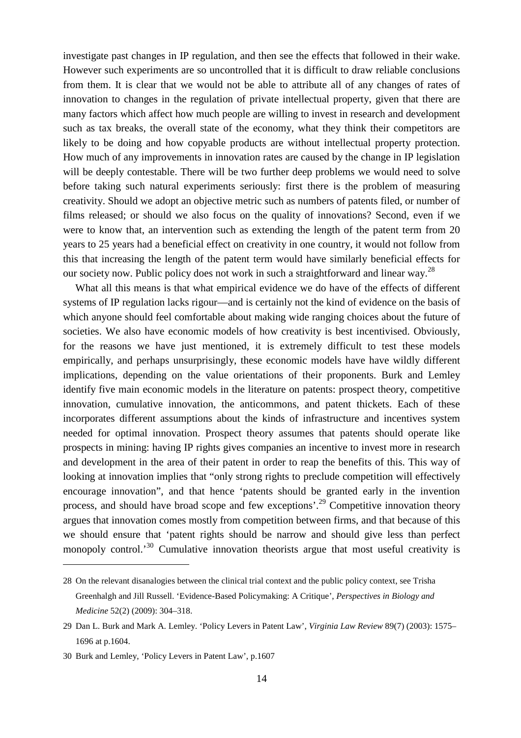investigate past changes in IP regulation, and then see the effects that followed in their wake. However such experiments are so uncontrolled that it is difficult to draw reliable conclusions from them. It is clear that we would not be able to attribute all of any changes of rates of innovation to changes in the regulation of private intellectual property, given that there are many factors which affect how much people are willing to invest in research and development such as tax breaks, the overall state of the economy, what they think their competitors are likely to be doing and how copyable products are without intellectual property protection. How much of any improvements in innovation rates are caused by the change in IP legislation will be deeply contestable. There will be two further deep problems we would need to solve before taking such natural experiments seriously: first there is the problem of measuring creativity. Should we adopt an objective metric such as numbers of patents filed, or number of films released; or should we also focus on the quality of innovations? Second, even if we were to know that, an intervention such as extending the length of the patent term from 20 years to 25 years had a beneficial effect on creativity in one country, it would not follow from this that increasing the length of the patent term would have similarly beneficial effects for our society now. Public policy does not work in such a straightforward and linear way.<sup>28</sup>

What all this means is that what empirical evidence we do have of the effects of different systems of IP regulation lacks rigour—and is certainly not the kind of evidence on the basis of which anyone should feel comfortable about making wide ranging choices about the future of societies. We also have economic models of how creativity is best incentivised. Obviously, for the reasons we have just mentioned, it is extremely difficult to test these models empirically, and perhaps unsurprisingly, these economic models have have wildly different implications, depending on the value orientations of their proponents. Burk and Lemley identify five main economic models in the literature on patents: prospect theory, competitive innovation, cumulative innovation, the anticommons, and patent thickets. Each of these incorporates different assumptions about the kinds of infrastructure and incentives system needed for optimal innovation. Prospect theory assumes that patents should operate like prospects in mining: having IP rights gives companies an incentive to invest more in research and development in the area of their patent in order to reap the benefits of this. This way of looking at innovation implies that "only strong rights to preclude competition will effectively encourage innovation", and that hence 'patents should be granted early in the invention process, and should have broad scope and few exceptions'.<sup>29</sup> Competitive innovation theory argues that innovation comes mostly from competition between firms, and that because of this we should ensure that 'patent rights should be narrow and should give less than perfect monopoly control.<sup>30</sup> Cumulative innovation theorists argue that most useful creativity is

<sup>28</sup> On the relevant disanalogies between the clinical trial context and the public policy context, see Trisha Greenhalgh and Jill Russell. 'Evidence-Based Policymaking: A Critique', *Perspectives in Biology and Medicine* 52(2) (2009): 304–318.

<sup>29</sup> Dan L. Burk and Mark A. Lemley. 'Policy Levers in Patent Law', *Virginia Law Review* 89(7) (2003): 1575– 1696 at p.1604.

<sup>30</sup> Burk and Lemley, 'Policy Levers in Patent Law', p.1607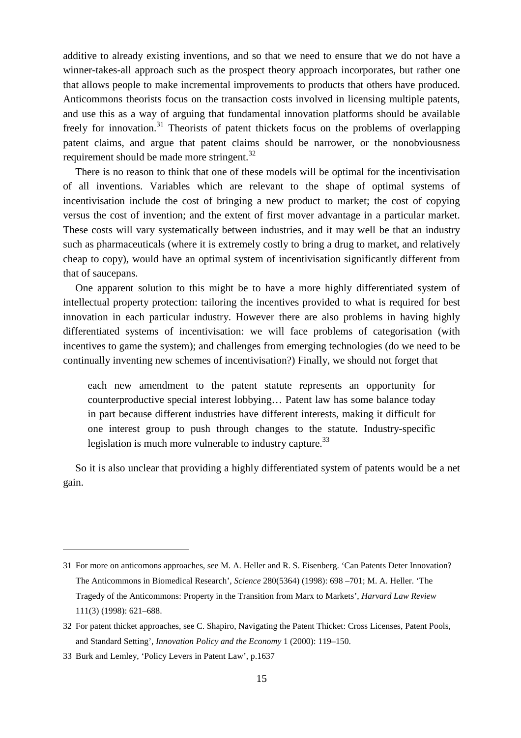additive to already existing inventions, and so that we need to ensure that we do not have a winner-takes-all approach such as the prospect theory approach incorporates, but rather one that allows people to make incremental improvements to products that others have produced. Anticommons theorists focus on the transaction costs involved in licensing multiple patents, and use this as a way of arguing that fundamental innovation platforms should be available freely for innovation.<sup>31</sup> Theorists of patent thickets focus on the problems of overlapping patent claims, and argue that patent claims should be narrower, or the nonobviousness requirement should be made more stringent.<sup>32</sup>

There is no reason to think that one of these models will be optimal for the incentivisation of all inventions. Variables which are relevant to the shape of optimal systems of incentivisation include the cost of bringing a new product to market; the cost of copying versus the cost of invention; and the extent of first mover advantage in a particular market. These costs will vary systematically between industries, and it may well be that an industry such as pharmaceuticals (where it is extremely costly to bring a drug to market, and relatively cheap to copy), would have an optimal system of incentivisation significantly different from that of saucepans.

One apparent solution to this might be to have a more highly differentiated system of intellectual property protection: tailoring the incentives provided to what is required for best innovation in each particular industry. However there are also problems in having highly differentiated systems of incentivisation: we will face problems of categorisation (with incentives to game the system); and challenges from emerging technologies (do we need to be continually inventing new schemes of incentivisation?) Finally, we should not forget that

each new amendment to the patent statute represents an opportunity for counterproductive special interest lobbying… Patent law has some balance today in part because different industries have different interests, making it difficult for one interest group to push through changes to the statute. Industry-specific legislation is much more vulnerable to industry capture.<sup>33</sup>

So it is also unclear that providing a highly differentiated system of patents would be a net gain.

<sup>31</sup> For more on anticomons approaches, see M. A. Heller and R. S. Eisenberg. 'Can Patents Deter Innovation? The Anticommons in Biomedical Research', *Science* 280(5364) (1998): 698 –701; M. A. Heller. 'The Tragedy of the Anticommons: Property in the Transition from Marx to Markets', *Harvard Law Review* 111(3) (1998): 621–688.

<sup>32</sup> For patent thicket approaches, see C. Shapiro, Navigating the Patent Thicket: Cross Licenses, Patent Pools, and Standard Setting', *Innovation Policy and the Economy* 1 (2000): 119–150.

<sup>33</sup> Burk and Lemley, 'Policy Levers in Patent Law', p.1637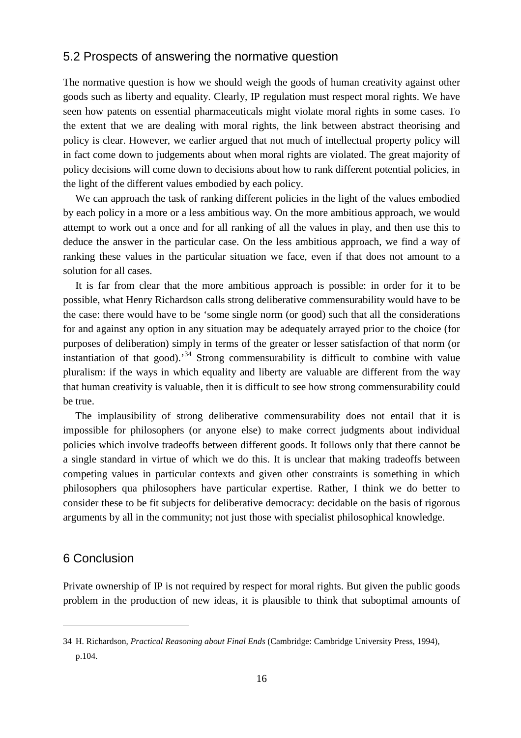#### 5.2 Prospects of answering the normative question

The normative question is how we should weigh the goods of human creativity against other goods such as liberty and equality. Clearly, IP regulation must respect moral rights. We have seen how patents on essential pharmaceuticals might violate moral rights in some cases. To the extent that we are dealing with moral rights, the link between abstract theorising and policy is clear. However, we earlier argued that not much of intellectual property policy will in fact come down to judgements about when moral rights are violated. The great majority of policy decisions will come down to decisions about how to rank different potential policies, in the light of the different values embodied by each policy.

We can approach the task of ranking different policies in the light of the values embodied by each policy in a more or a less ambitious way. On the more ambitious approach, we would attempt to work out a once and for all ranking of all the values in play, and then use this to deduce the answer in the particular case. On the less ambitious approach, we find a way of ranking these values in the particular situation we face, even if that does not amount to a solution for all cases.

It is far from clear that the more ambitious approach is possible: in order for it to be possible, what Henry Richardson calls strong deliberative commensurability would have to be the case: there would have to be 'some single norm (or good) such that all the considerations for and against any option in any situation may be adequately arrayed prior to the choice (for purposes of deliberation) simply in terms of the greater or lesser satisfaction of that norm (or instantiation of that good).<sup>34</sup> Strong commensurability is difficult to combine with value pluralism: if the ways in which equality and liberty are valuable are different from the way that human creativity is valuable, then it is difficult to see how strong commensurability could be true.

The implausibility of strong deliberative commensurability does not entail that it is impossible for philosophers (or anyone else) to make correct judgments about individual policies which involve tradeoffs between different goods. It follows only that there cannot be a single standard in virtue of which we do this. It is unclear that making tradeoffs between competing values in particular contexts and given other constraints is something in which philosophers qua philosophers have particular expertise. Rather, I think we do better to consider these to be fit subjects for deliberative democracy: decidable on the basis of rigorous arguments by all in the community; not just those with specialist philosophical knowledge.

#### 6 Conclusion

Private ownership of IP is not required by respect for moral rights. But given the public goods problem in the production of new ideas, it is plausible to think that suboptimal amounts of

<sup>34</sup> H. Richardson, *Practical Reasoning about Final Ends* (Cambridge: Cambridge University Press, 1994), p.104.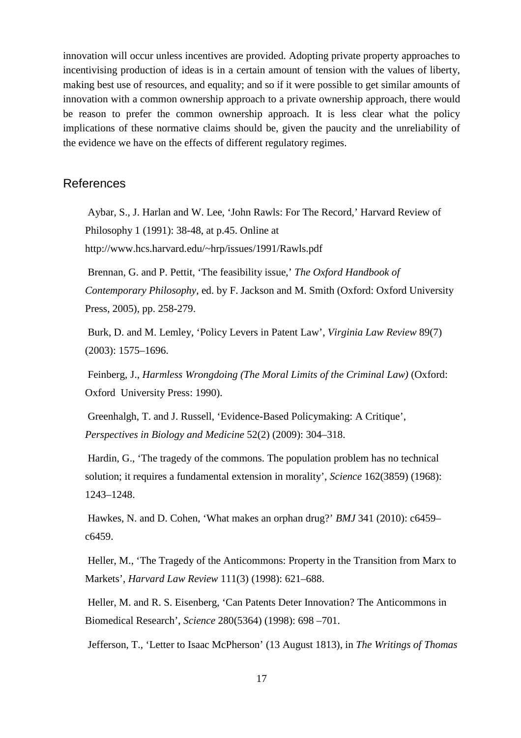innovation will occur unless incentives are provided. Adopting private property approaches to incentivising production of ideas is in a certain amount of tension with the values of liberty, making best use of resources, and equality; and so if it were possible to get similar amounts of innovation with a common ownership approach to a private ownership approach, there would be reason to prefer the common ownership approach. It is less clear what the policy implications of these normative claims should be, given the paucity and the unreliability of the evidence we have on the effects of different regulatory regimes.

#### References

Aybar, S., J. Harlan and W. Lee, 'John Rawls: For The Record,' Harvard Review of Philosophy 1 (1991): 38-48, at p.45. Online at http://www.hcs.harvard.edu/~hrp/issues/1991/Rawls.pdf

Brennan, G. and P. Pettit, 'The feasibility issue,' *The Oxford Handbook of Contemporary Philosophy,* ed. by F. Jackson and M. Smith (Oxford: Oxford University Press, 2005), pp. 258-279.

Burk, D. and M. Lemley, 'Policy Levers in Patent Law', *Virginia Law Review* 89(7) (2003): 1575–1696.

Feinberg, J., *Harmless Wrongdoing (The Moral Limits of the Criminal Law)* (Oxford: Oxford University Press: 1990).

Greenhalgh, T. and J. Russell, 'Evidence-Based Policymaking: A Critique', *Perspectives in Biology and Medicine* 52(2) (2009): 304–318.

Hardin, G., 'The tragedy of the commons. The population problem has no technical solution; it requires a fundamental extension in morality', *Science* 162(3859) (1968): 1243–1248.

Hawkes, N. and D. Cohen, 'What makes an orphan drug?' *BMJ* 341 (2010): c6459– c6459.

Heller, M., 'The Tragedy of the Anticommons: Property in the Transition from Marx to Markets', *Harvard Law Review* 111(3) (1998): 621–688.

Heller, M. and R. S. Eisenberg, 'Can Patents Deter Innovation? The Anticommons in Biomedical Research', *Science* 280(5364) (1998): 698 –701.

Jefferson, T., 'Letter to Isaac McPherson' (13 August 1813), in *The Writings of Thomas*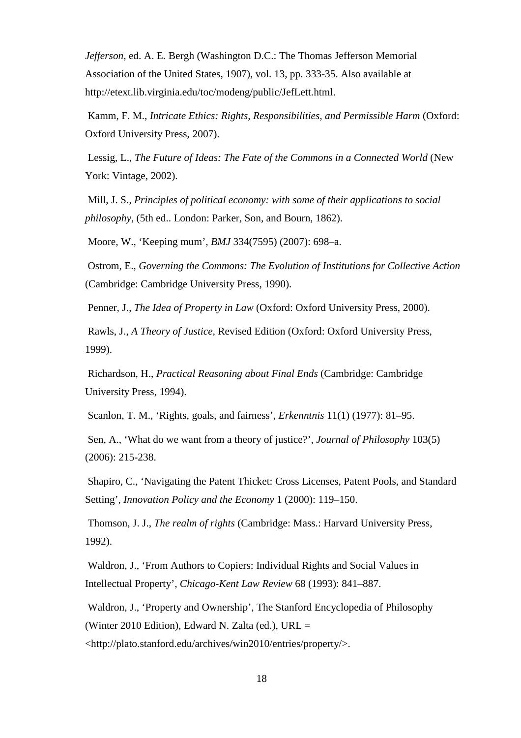*Jefferson*, ed. A. E. Bergh (Washington D.C.: The Thomas Jefferson Memorial Association of the United States, 1907), vol. 13, pp. 333-35. Also available at http://etext.lib.virginia.edu/toc/modeng/public/JefLett.html.

Kamm, F. M., *Intricate Ethics: Rights, Responsibilities, and Permissible Harm* (Oxford: Oxford University Press, 2007).

Lessig, L., *The Future of Ideas: The Fate of the Commons in a Connected World* (New York: Vintage, 2002).

Mill, J. S., *Principles of political economy: with some of their applications to social philosophy*, (5th ed.. London: Parker, Son, and Bourn, 1862).

Moore, W., 'Keeping mum', *BMJ* 334(7595) (2007): 698–a.

Ostrom, E., *Governing the Commons: The Evolution of Institutions for Collective Action* (Cambridge: Cambridge University Press, 1990).

Penner, J., *The Idea of Property in Law* (Oxford: Oxford University Press, 2000).

Rawls, J., *A Theory of Justice,* Revised Edition (Oxford: Oxford University Press, 1999).

Richardson, H., *Practical Reasoning about Final Ends* (Cambridge: Cambridge University Press, 1994).

Scanlon, T. M., 'Rights, goals, and fairness', *Erkenntnis* 11(1) (1977): 81–95.

Sen, A., 'What do we want from a theory of justice?', *Journal of Philosophy* 103(5) (2006): 215-238.

Shapiro, C., 'Navigating the Patent Thicket: Cross Licenses, Patent Pools, and Standard Setting', *Innovation Policy and the Economy* 1 (2000): 119–150.

Thomson, J. J., *The realm of rights* (Cambridge: Mass.: Harvard University Press, 1992).

Waldron, J., 'From Authors to Copiers: Individual Rights and Social Values in Intellectual Property', *Chicago-Kent Law Review* 68 (1993): 841–887.

Waldron, J., 'Property and Ownership', The Stanford Encyclopedia of Philosophy (Winter 2010 Edition), Edward N. Zalta (ed.), URL =

<http://plato.stanford.edu/archives/win2010/entries/property/>.